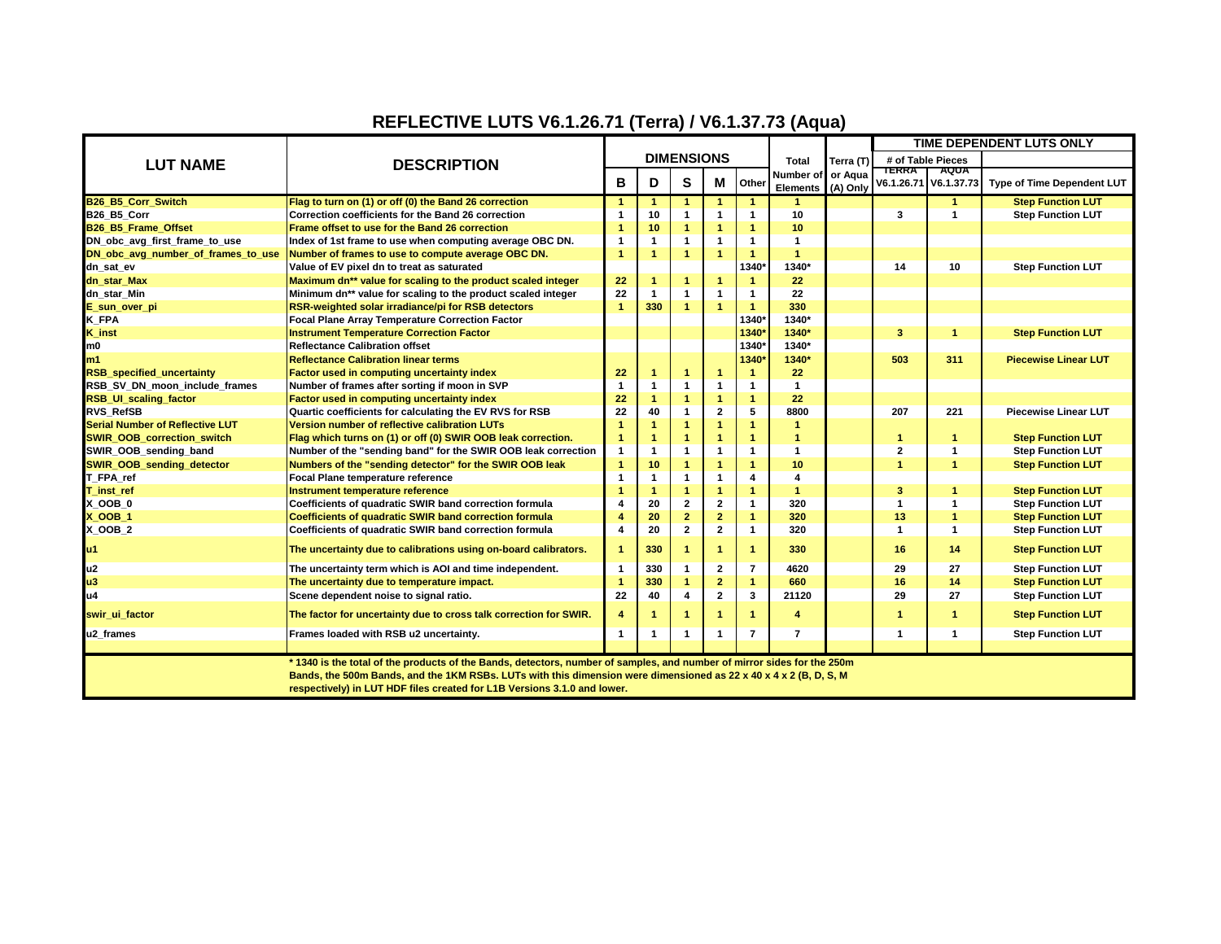## **REFLECTIVE LUTS V6.1.26.71 (Terra) / V6.1.37.73 (Aqua)**

|                                        | <b>DESCRIPTION</b>                                                                                                      |                |                      |                         |                         |                      |                           | Terra (T)<br>or Aqua | TIME DEPENDENT LUTS ONLY    |                      |                             |
|----------------------------------------|-------------------------------------------------------------------------------------------------------------------------|----------------|----------------------|-------------------------|-------------------------|----------------------|---------------------------|----------------------|-----------------------------|----------------------|-----------------------------|
| <b>LUT NAME</b>                        |                                                                                                                         |                |                      | <b>DIMENSIONS</b>       |                         |                      | <b>Total</b><br>Number of |                      |                             | # of Table Pieces    |                             |
|                                        |                                                                                                                         |                |                      |                         |                         |                      |                           |                      | <b>TERRA</b><br><b>AQUA</b> |                      |                             |
|                                        |                                                                                                                         | B              | S<br>Μ<br>D          | Other                   | <b>Elements</b>         | (A) Only             | V6.1.26.71                | V6.1.37.73           | Type of Time Dependent LUT  |                      |                             |
| B26_B5_Corr_Switch                     | Flag to turn on (1) or off (0) the Band 26 correction                                                                   | $\mathbf{1}$   | $\blacktriangleleft$ |                         | $\blacktriangleleft$    | $\blacktriangleleft$ | 4                         |                      |                             | $\blacktriangleleft$ | <b>Step Function LUT</b>    |
| B26 B5 Corr                            | Correction coefficients for the Band 26 correction                                                                      | 1              | 10                   |                         | 1                       | $\mathbf{1}$         | 10                        |                      | 3                           | 1                    | <b>Step Function LUT</b>    |
| B26 B5 Frame Offset                    | Frame offset to use for the Band 26 correction                                                                          | $\overline{1}$ | 10                   |                         | $\overline{1}$          | $\blacktriangleleft$ | 10                        |                      |                             |                      |                             |
| DN_obc_avg_first_frame_to_use          | Index of 1st frame to use when computing average OBC DN.                                                                | $\mathbf 1$    | $\mathbf{1}$         | $\overline{1}$          | $\mathbf{1}$            | $\mathbf{1}$         | $\mathbf 1$               |                      |                             |                      |                             |
| DN obc avg number of frames to use     | Number of frames to use to compute average OBC DN.                                                                      | $\mathbf{1}$   | $\blacktriangleleft$ | $\overline{1}$          | $\overline{1}$          | $\blacktriangleleft$ | $\blacktriangleleft$      |                      |                             |                      |                             |
| dn_sat_ev                              | Value of EV pixel dn to treat as saturated                                                                              |                |                      |                         |                         | 1340                 | 1340*                     |                      | 14                          | 10                   | <b>Step Function LUT</b>    |
| dn_star_Max                            | Maximum dn** value for scaling to the product scaled integer                                                            | 22             | -1                   |                         | $\overline{1}$          |                      | 22                        |                      |                             |                      |                             |
| dn_star_Min                            | Minimum dn** value for scaling to the product scaled integer                                                            | 22             | $\mathbf{1}$         |                         | $\mathbf 1$             | $\mathbf{1}$         | 22                        |                      |                             |                      |                             |
| E_sun_over_pi                          | RSR-weighted solar irradiance/pi for RSB detectors                                                                      | $\overline{1}$ | 330                  | $\blacktriangleleft$    | $\overline{1}$          | $\blacktriangleleft$ | 330                       |                      |                             |                      |                             |
| K_FPA                                  | Focal Plane Array Temperature Correction Factor                                                                         |                |                      |                         |                         | 1340*                | 1340*                     |                      |                             |                      |                             |
| <b>K_inst</b>                          | <b>Instrument Temperature Correction Factor</b>                                                                         |                |                      |                         |                         | 1340                 | 1340*                     |                      | 3                           | 1                    | <b>Step Function LUT</b>    |
| m <sub>0</sub>                         | <b>Reflectance Calibration offset</b>                                                                                   |                |                      |                         |                         | 1340*                | 1340*                     |                      |                             |                      |                             |
| m1                                     | <b>Reflectance Calibration linear terms</b>                                                                             |                |                      |                         |                         | 1340                 | 1340*                     |                      | 503                         | 311                  | <b>Piecewise Linear LUT</b> |
| <b>RSB</b> specified uncertainty       | Factor used in computing uncertainty index                                                                              | 22             | -1                   | $\blacktriangleleft$    | $\mathbf{1}$            | $\mathbf{1}$         | 22                        |                      |                             |                      |                             |
| RSB SV DN moon include frames          | Number of frames after sorting if moon in SVP                                                                           | $\mathbf{1}$   | $\mathbf{1}$         |                         | 1                       | $\mathbf{1}$         | $\mathbf{1}$              |                      |                             |                      |                             |
| <b>RSB_UI_scaling_factor</b>           | Factor used in computing uncertainty index                                                                              | 22             | $\blacktriangleleft$ |                         | $\mathbf{1}$            | $\mathbf{1}$         | 22                        |                      |                             |                      |                             |
| <b>RVS RefSB</b>                       | Quartic coefficients for calculating the EV RVS for RSB                                                                 | 22             | 40                   | $\mathbf{1}$            | $\overline{\mathbf{2}}$ | 5                    | 8800                      |                      | 207                         | 221                  | <b>Piecewise Linear LUT</b> |
| <b>Serial Number of Reflective LUT</b> | Version number of reflective calibration LUTs                                                                           | 1              | -1                   | 1                       | $\blacktriangleleft$    | $\blacktriangleleft$ | 1                         |                      |                             |                      |                             |
| <b>SWIR OOB correction switch</b>      | Flag which turns on (1) or off (0) SWIR OOB leak correction.                                                            | $\overline{1}$ |                      |                         | $\overline{1}$          | $\blacktriangleleft$ | 1                         |                      |                             |                      | <b>Step Function LUT</b>    |
| SWIR OOB sending band                  | Number of the "sending band" for the SWIR OOB leak correction                                                           | $\mathbf{1}$   | $\mathbf{1}$         |                         | $\mathbf{1}$            | $\mathbf{1}$         | -1                        |                      | $\overline{2}$              | 1                    | <b>Step Function LUT</b>    |
| <b>SWIR OOB sending detector</b>       | Numbers of the "sending detector" for the SWIR OOB leak                                                                 | $\overline{1}$ | 10                   |                         | $\overline{1}$          | $\blacktriangleleft$ | 10                        |                      | $\overline{1}$              | $\blacktriangleleft$ | <b>Step Function LUT</b>    |
| T_FPA_ref                              | Focal Plane temperature reference                                                                                       | 1              | $\mathbf{1}$         | $\mathbf{1}$            | $\mathbf{1}$            | 4                    | 4                         |                      |                             |                      |                             |
| T inst ref                             | Instrument temperature reference                                                                                        | $\overline{1}$ | $\blacktriangleleft$ |                         | $\overline{1}$          | $\blacktriangleleft$ | $\blacktriangleleft$      |                      | 3                           | 1                    | <b>Step Function LUT</b>    |
| X OOB 0                                | Coefficients of quadratic SWIR band correction formula                                                                  | 4              | 20                   | $\mathbf{2}$            | $\mathbf 2$             | $\mathbf{1}$         | 320                       |                      | $\mathbf{1}$                | 1                    | <b>Step Function LUT</b>    |
| <b>X_OOB 1</b>                         | Coefficients of quadratic SWIR band correction formula                                                                  | 4              | 20                   | $\overline{\mathbf{2}}$ | $\overline{\mathbf{2}}$ | $\overline{1}$       | 320                       |                      | 13                          | 1                    | <b>Step Function LUT</b>    |
| X OOB 2                                | Coefficients of quadratic SWIR band correction formula                                                                  | 4              | 20                   | $\overline{2}$          | $\mathbf{2}$            | $\mathbf{1}$         | 320                       |                      | 1                           | 1                    | <b>Step Function LUT</b>    |
| u1                                     | The uncertainty due to calibrations using on-board calibrators.                                                         | $\mathbf{1}$   | 330                  |                         | $\blacktriangleleft$    | $\blacktriangleleft$ | 330                       |                      | 16                          | 14                   | <b>Step Function LUT</b>    |
| u <sub>2</sub>                         | The uncertainty term which is AOI and time independent.                                                                 | $\mathbf{1}$   | 330                  |                         | $\mathbf 2$             | 7                    | 4620                      |                      | 29                          | 27                   | <b>Step Function LUT</b>    |
| u3                                     | The uncertainty due to temperature impact.                                                                              | $\mathbf{1}$   | 330                  | 1                       | $\mathbf{2}$            | $\mathbf{1}$         | 660                       |                      | 16                          | 14                   | <b>Step Function LUT</b>    |
| u4                                     | Scene dependent noise to signal ratio.                                                                                  | 22             | 40                   | 4                       | $\mathbf 2$             | 3                    | 21120                     |                      | 29                          | 27                   | <b>Step Function LUT</b>    |
|                                        |                                                                                                                         |                |                      |                         | $\overline{1}$          |                      |                           |                      |                             |                      |                             |
| swir ui factor                         | The factor for uncertainty due to cross talk correction for SWIR.                                                       | 4              | -1                   |                         |                         | -1                   | 4                         |                      |                             | 1                    | <b>Step Function LUT</b>    |
| u2 frames                              | Frames loaded with RSB u2 uncertainty.                                                                                  | $\mathbf{1}$   | -1                   | -1                      | 1                       | 7                    | $\overline{7}$            |                      | 1                           | 1                    | <b>Step Function LUT</b>    |
|                                        | * 1340 is the total of the products of the Bands, detectors, number of samples, and number of mirror sides for the 250m |                |                      |                         |                         |                      |                           |                      |                             |                      |                             |
|                                        | Bands, the 500m Bands, and the 1KM RSBs. LUTs with this dimension were dimensioned as 22 x 40 x 4 x 2 (B, D, S, M       |                |                      |                         |                         |                      |                           |                      |                             |                      |                             |
|                                        | respectively) in LUT HDF files created for L1B Versions 3.1.0 and lower.                                                |                |                      |                         |                         |                      |                           |                      |                             |                      |                             |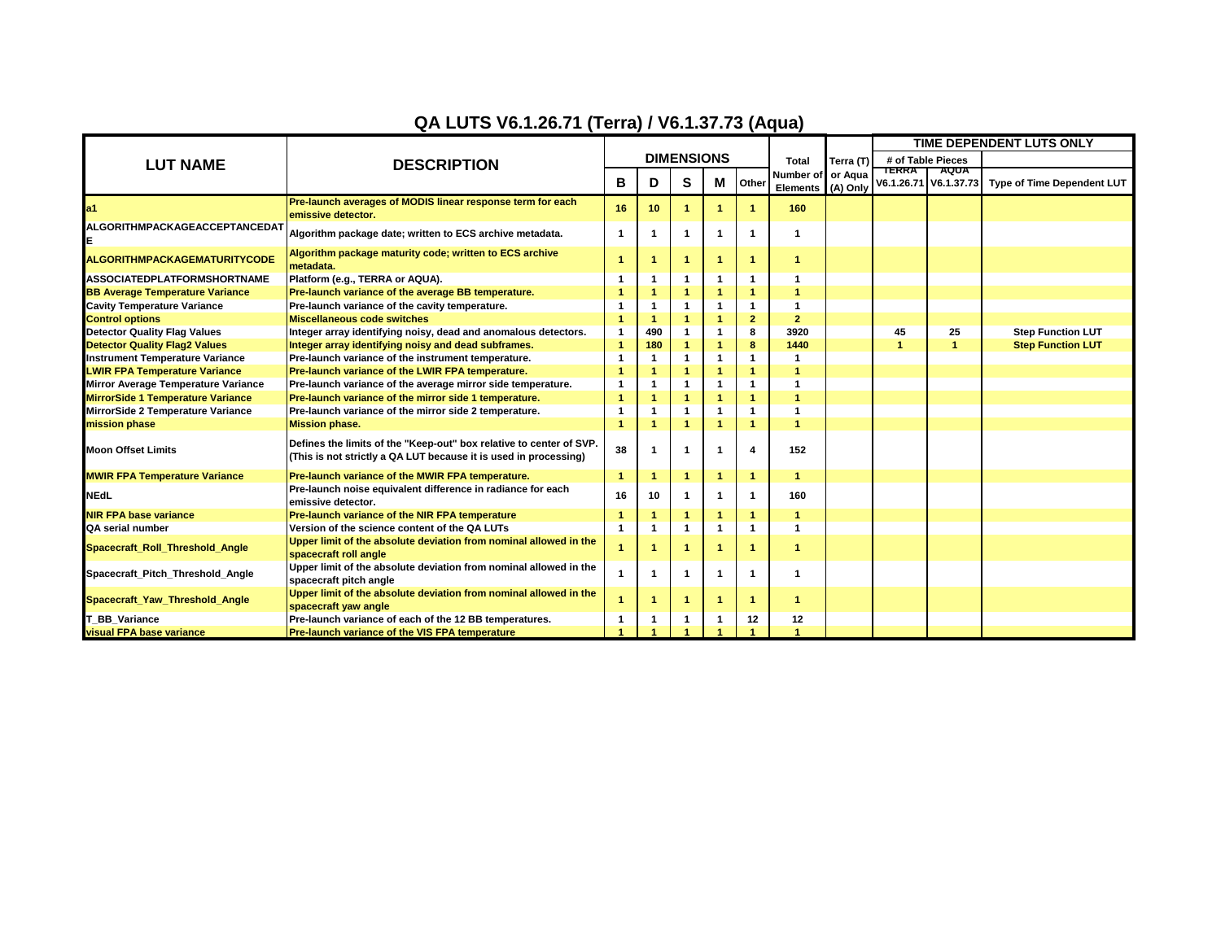## **QA LUTS V6.1.26.71 (Terra) / V6.1.37.73 (Aqua)**

|                                          |                                                                                                                                         |                      |                      |                      |                      |                  |                                                      |                       | TIME DEPENDENT LUTS ONLY |                                      |                                   |
|------------------------------------------|-----------------------------------------------------------------------------------------------------------------------------------------|----------------------|----------------------|----------------------|----------------------|------------------|------------------------------------------------------|-----------------------|--------------------------|--------------------------------------|-----------------------------------|
| <b>LUT NAME</b>                          | <b>DESCRIPTION</b>                                                                                                                      |                      |                      | <b>DIMENSIONS</b>    |                      |                  | <b>Total</b><br>Number of or Aqua<br><b>Elements</b> | Terra (T)<br>(A) Only | # of Table Pieces        |                                      |                                   |
|                                          |                                                                                                                                         | в                    | D                    | S                    | М                    | Other            |                                                      |                       | TERRA                    | <b>AQUA</b><br>V6.1.26.71 V6.1.37.73 | <b>Type of Time Dependent LUT</b> |
| a <sub>1</sub>                           | Pre-launch averages of MODIS linear response term for each<br>emissive detector.                                                        | 16                   | 10                   | 1                    |                      |                  | 160                                                  |                       |                          |                                      |                                   |
| ALGORITHMPACKAGEACCEPTANCEDAT            | Algorithm package date; written to ECS archive metadata.                                                                                | $\mathbf 1$          | -1                   | 1                    | $\mathbf{1}$         | -1               | -1                                                   |                       |                          |                                      |                                   |
| <b>ALGORITHMPACKAGEMATURITYCODE</b>      | Algorithm package maturity code; written to ECS archive<br>metadata.                                                                    | $\overline{1}$       |                      | 1                    | -1                   | -1               | -1                                                   |                       |                          |                                      |                                   |
| <b>ASSOCIATEDPLATFORMSHORTNAME</b>       | Platform (e.g., TERRA or AQUA).                                                                                                         |                      |                      | 1                    |                      | 1                |                                                      |                       |                          |                                      |                                   |
| <b>BB Average Temperature Variance</b>   | Pre-launch variance of the average BB temperature.                                                                                      |                      | $\overline{1}$       | $\overline{1}$       | $\overline{1}$       | $\overline{1}$   | $\overline{1}$                                       |                       |                          |                                      |                                   |
| <b>Cavity Temperature Variance</b>       | Pre-launch variance of the cavity temperature.                                                                                          |                      | $\mathbf{1}$         | 1                    | $\mathbf{1}$         | $\overline{1}$   | -1                                                   |                       |                          |                                      |                                   |
| <b>Control options</b>                   | <b>Miscellaneous code switches</b>                                                                                                      |                      | $\blacktriangleleft$ | $\blacktriangleleft$ | $\overline{1}$       | $\overline{2}$   | $\overline{2}$                                       |                       |                          |                                      |                                   |
| <b>Detector Quality Flag Values</b>      | Integer array identifying noisy, dead and anomalous detectors.                                                                          | $\mathbf{1}$         | 490                  | $\mathbf{1}$         | $\mathbf{1}$         | 8                | 3920                                                 |                       | 45                       | 25                                   | <b>Step Function LUT</b>          |
| <b>Detector Quality Flag2 Values</b>     | Integer array identifying noisy and dead subframes.                                                                                     |                      | 180                  | $\blacktriangleleft$ | $\blacktriangleleft$ | 8                | 1440                                                 |                       |                          | и                                    | <b>Step Function LUT</b>          |
| <b>Instrument Temperature Variance</b>   | Pre-launch variance of the instrument temperature.                                                                                      |                      | -1                   | $\mathbf 1$          | $\mathbf{1}$         | $\mathbf{1}$     | -1                                                   |                       |                          |                                      |                                   |
| <b>LWIR FPA Temperature Variance</b>     | Pre-launch variance of the LWIR FPA temperature.                                                                                        |                      |                      | 1                    | $\blacktriangleleft$ | 1                | -1                                                   |                       |                          |                                      |                                   |
| Mirror Average Temperature Variance      | Pre-launch variance of the average mirror side temperature.                                                                             |                      | $\mathbf 1$          | 1                    | $\mathbf{1}$         | $\mathbf 1$      | -1                                                   |                       |                          |                                      |                                   |
| <b>MirrorSide 1 Temperature Variance</b> | Pre-launch variance of the mirror side 1 temperature.                                                                                   |                      | -1                   | $\blacktriangleleft$ | $\overline{1}$       | 1                | -1                                                   |                       |                          |                                      |                                   |
| MirrorSide 2 Temperature Variance        | Pre-launch variance of the mirror side 2 temperature.                                                                                   |                      | $\mathbf{1}$         | $\mathbf{1}$         | $\mathbf{1}$         | $\mathbf{1}$     | -1                                                   |                       |                          |                                      |                                   |
| mission phase                            | <b>Mission phase.</b>                                                                                                                   | 4                    | -1                   | -1                   | $\overline{1}$       | $\overline{1}$   | $\overline{1}$                                       |                       |                          |                                      |                                   |
| <b>Moon Offset Limits</b>                | Defines the limits of the "Keep-out" box relative to center of SVP.<br>(This is not strictly a QA LUT because it is used in processing) | 38                   |                      | 1                    | -1                   | $\boldsymbol{4}$ | 152                                                  |                       |                          |                                      |                                   |
| <b>MWIR FPA Temperature Variance</b>     | Pre-launch variance of the MWIR FPA temperature.                                                                                        | $\overline{1}$       | 1                    | 1                    | $\overline{1}$       | $\overline{1}$   | $\blacktriangleleft$                                 |                       |                          |                                      |                                   |
| <b>NEdL</b>                              | Pre-launch noise equivalent difference in radiance for each<br>emissive detector.                                                       | 16                   | 10                   | 1                    | $\mathbf{1}$         | $\mathbf{1}$     | 160                                                  |                       |                          |                                      |                                   |
| <b>NIR FPA base variance</b>             | Pre-launch variance of the NIR FPA temperature                                                                                          | 1                    | -1                   | 1                    | $\blacktriangleleft$ | $\overline{1}$   | -1                                                   |                       |                          |                                      |                                   |
| <b>QA serial number</b>                  | Version of the science content of the QA LUTs                                                                                           | $\mathbf{1}$         | -1                   | $\mathbf{1}$         | $\mathbf{1}$         | $\mathbf{1}$     | -1                                                   |                       |                          |                                      |                                   |
| Spacecraft_Roll_Threshold_Angle          | Upper limit of the absolute deviation from nominal allowed in the<br>spacecraft roll angle                                              | $\blacktriangleleft$ |                      | 1                    | $\blacktriangleleft$ | -1               | -1                                                   |                       |                          |                                      |                                   |
| Spacecraft_Pitch_Threshold_Angle         | Upper limit of the absolute deviation from nominal allowed in the<br>spacecraft pitch angle                                             | -1                   | -1                   | -1                   | $\mathbf 1$          | -1               | -1                                                   |                       |                          |                                      |                                   |
| Spacecraft_Yaw_Threshold_Angle           | Upper limit of the absolute deviation from nominal allowed in the<br>spacecraft yaw angle                                               | -1                   |                      | 1                    | -1                   | -1               | -1                                                   |                       |                          |                                      |                                   |
| <b>BB</b> Variance                       | Pre-launch variance of each of the 12 BB temperatures.                                                                                  |                      |                      | 1                    |                      | 12               | 12                                                   |                       |                          |                                      |                                   |
| <b>visual FPA base variance</b>          | Pre-launch variance of the VIS FPA temperature                                                                                          |                      |                      |                      |                      |                  |                                                      |                       |                          |                                      |                                   |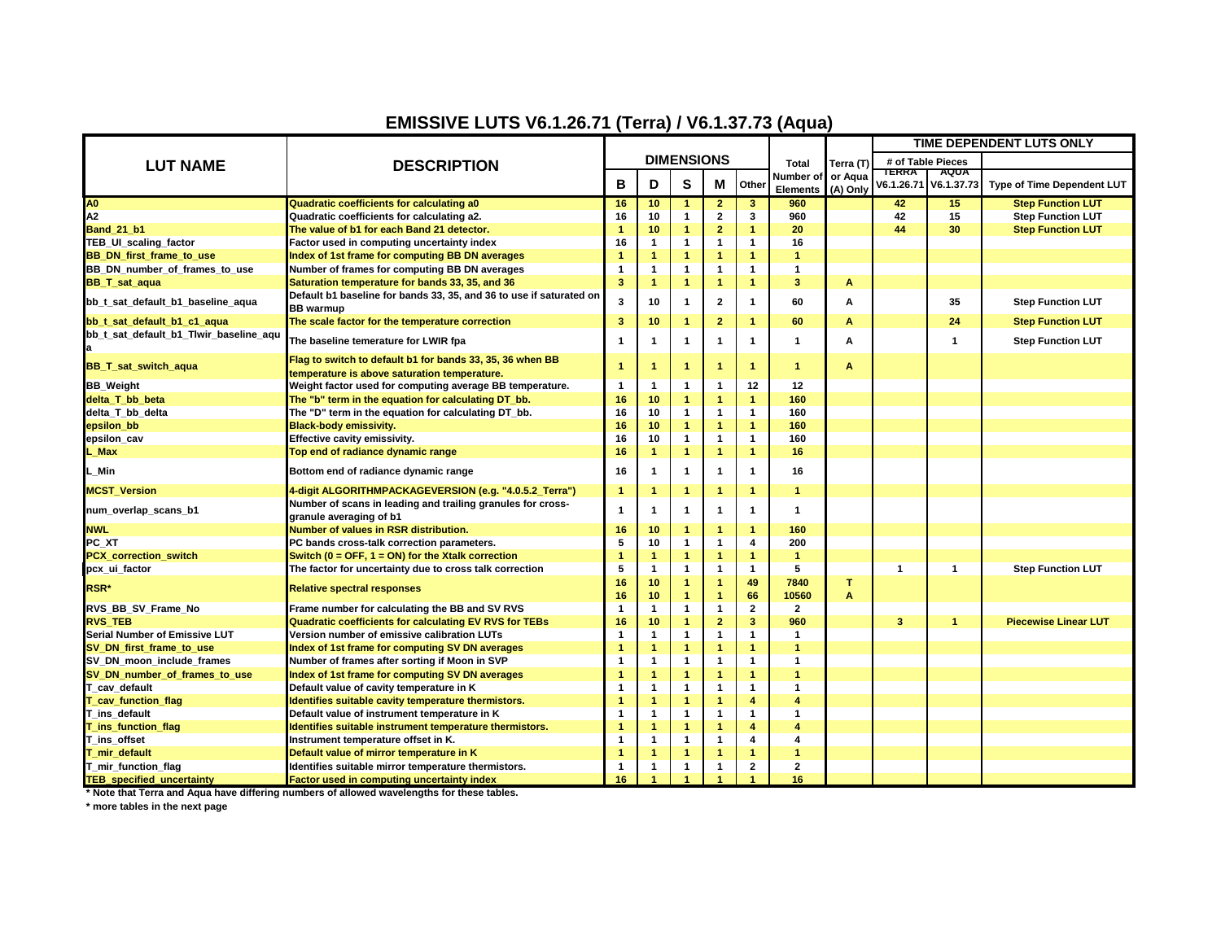## **EMISSIVE LUTS V6.1.26.71 (Terra) / V6.1.37.73 (Aqua)**

|                                              | <b>DESCRIPTION</b>                                                  |                   |                      |                      |                         |                         |                 |           | TIME DEPENDENT LUTS ONLY    |                       |                                   |
|----------------------------------------------|---------------------------------------------------------------------|-------------------|----------------------|----------------------|-------------------------|-------------------------|-----------------|-----------|-----------------------------|-----------------------|-----------------------------------|
| <b>LUT NAME</b>                              |                                                                     | <b>DIMENSIONS</b> |                      |                      |                         |                         | <b>Total</b>    | Terra (T) | # of Table Pieces           |                       |                                   |
|                                              |                                                                     |                   |                      |                      |                         |                         | Number of       | or Aqua   | <b>TERRA</b><br><b>AQUA</b> |                       |                                   |
|                                              |                                                                     | B                 | D                    | S                    | М                       | Other                   | <b>Elements</b> | (A) Only  |                             | V6.1.26.71 V6.1.37.73 | <b>Type of Time Dependent LUT</b> |
| A <sub>0</sub>                               | Quadratic coefficients for calculating a0                           | 16                | 10                   |                      | $\overline{\mathbf{2}}$ | 3                       | 960             |           | 42                          | 15                    | <b>Step Function LUT</b>          |
| A2                                           | Quadratic coefficients for calculating a2.                          | 16                | 10                   | $\mathbf{1}$         | $\mathbf 2$             | 3                       | 960             |           | 42                          | 15                    | <b>Step Function LUT</b>          |
| <b>Band_21_b1</b>                            | The value of b1 for each Band 21 detector.                          | 1                 | 10                   | $\overline{1}$       | $\mathbf{2}$            | $\blacktriangleleft$    | 20              |           | 44                          | 30                    | <b>Step Function LUT</b>          |
| <b>TEB UI scaling factor</b>                 | Factor used in computing uncertainty index                          | 16                | $\mathbf{1}$         | $\mathbf{1}$         | $\mathbf{1}$            | 1                       | 16              |           |                             |                       |                                   |
| <b>BB</b> DN first frame to use              | Index of 1st frame for computing BB DN averages                     | 1                 | $\mathbf{1}$         | $\blacktriangleleft$ | $\mathbf{1}$            | $\blacktriangleleft$    | 1               |           |                             |                       |                                   |
| BB_DN_number_of_frames_to_use                | Number of frames for computing BB DN averages                       | 1                 | 1                    | $\mathbf{1}$         | $\mathbf{1}$            | $\mathbf{1}$            | 1               |           |                             |                       |                                   |
| <b>BB_T_sat_aqua</b>                         | Saturation temperature for bands 33, 35, and 36                     | 3                 | $\mathbf{1}$         | $\overline{1}$       | $\mathbf{1}$            | $\overline{1}$          | 3               | A         |                             |                       |                                   |
| bb_t_sat_default_b1_baseline_aqua            | Default b1 baseline for bands 33, 35, and 36 to use if saturated on | 3                 | 10                   | -1                   | $\overline{2}$          | $\mathbf{1}$            | 60              | A         |                             | 35                    | <b>Step Function LUT</b>          |
|                                              | <b>BB</b> warmup                                                    |                   |                      |                      |                         |                         |                 |           |                             |                       |                                   |
| bb_t_sat_default_b1_c1_aqua                  | The scale factor for the temperature correction                     | 3                 | 10                   |                      | $\overline{2}$          | -1                      | 60              | A         |                             | 24                    | <b>Step Function LUT</b>          |
| bb_t_sat_default_b1_Tlwir_baseline_aqu<br>la | The baseline temerature for LWIR fpa                                | $\mathbf 1$       | -1                   | $\mathbf{1}$         | $\mathbf{1}$            | -1                      | 1               | A         |                             |                       | <b>Step Function LUT</b>          |
| <b>BB_T_sat_switch_aqua</b>                  | Flag to switch to default b1 for bands 33, 35, 36 when BB           | 1                 | $\mathbf{1}$         | -1                   | $\blacktriangleleft$    | -1                      | 1               | A         |                             |                       |                                   |
|                                              | temperature is above saturation temperature.                        |                   |                      |                      |                         |                         |                 |           |                             |                       |                                   |
| <b>BB</b> Weight                             | Weight factor used for computing average BB temperature.            | $\overline{1}$    | $\mathbf{1}$         | $\mathbf{1}$         | $\mathbf{1}$            | 12                      | 12              |           |                             |                       |                                   |
| delta T bb beta                              | The "b" term in the equation for calculating DT_bb.                 | 16                | 10                   | -1                   | $\mathbf{1}$            | $\blacktriangleleft$    | 160             |           |                             |                       |                                   |
| delta T bb delta                             | The "D" term in the equation for calculating DT_bb.                 | 16                | 10                   | $\mathbf{1}$         | $\mathbf{1}$            | $\mathbf{1}$            | 160             |           |                             |                       |                                   |
| epsilon_bb                                   | <b>Black-body emissivity.</b>                                       | 16                | 10                   | 1                    | $\mathbf{1}$            | $\overline{1}$          | 160             |           |                             |                       |                                   |
| epsilon_cav                                  | Effective cavity emissivity.                                        | 16                | 10                   | $\mathbf{1}$         | $\mathbf{1}$            | $\mathbf{1}$            | 160             |           |                             |                       |                                   |
| L Max                                        | Top end of radiance dynamic range                                   | 16                | $\mathbf{1}$         | $\overline{1}$       | $\mathbf{1}$            | $\blacktriangleleft$    | 16              |           |                             |                       |                                   |
| L Min                                        | Bottom end of radiance dynamic range                                | 16                | -1                   | -1                   | $\mathbf{1}$            | -1                      | 16              |           |                             |                       |                                   |
| <b>MCST Version</b>                          | 4-digit ALGORITHMPACKAGEVERSION (e.g. "4.0.5.2_Terra")              | $\mathbf{1}$      | $\mathbf{1}$         | $\blacktriangleleft$ | $\mathbf{1}$            | -1                      | 1               |           |                             |                       |                                   |
| num_overlap_scans_b1                         | Number of scans in leading and trailing granules for cross-         | $\mathbf 1$       | -1                   | -1                   | $\overline{1}$          | $\mathbf{1}$            | 1               |           |                             |                       |                                   |
|                                              | granule averaging of b1                                             |                   |                      |                      |                         |                         |                 |           |                             |                       |                                   |
| <b>NWL</b>                                   | <b>Number of values in RSR distribution.</b>                        | 16                | 10                   | $\overline{1}$       | $\mathbf{1}$            | $\blacktriangleleft$    | 160             |           |                             |                       |                                   |
| PC XT                                        | PC bands cross-talk correction parameters.                          | 5                 | 10                   | $\mathbf{1}$         | $\mathbf{1}$            | 4                       | 200             |           |                             |                       |                                   |
| <b>PCX</b> correction switch                 | Switch ( $0 =$ OFF, $1 =$ ON) for the Xtalk correction              | 1                 | $\mathbf{1}$         | $\overline{1}$       | $\mathbf{1}$            | $\blacktriangleleft$    | 1               |           |                             |                       |                                   |
| pcx_ui_factor                                | The factor for uncertainty due to cross talk correction             | 5                 | $\mathbf{1}$         | $\mathbf{1}$         | $\mathbf{1}$            | $\mathbf{1}$            | 5               |           | 1                           | -1                    | <b>Step Function LUT</b>          |
| RSR*                                         | <b>Relative spectral responses</b>                                  | 16                | 10                   | $\overline{1}$       | $\mathbf{1}$            | 49                      | 7840            | T         |                             |                       |                                   |
|                                              |                                                                     | 16                | 10                   | $\mathbf{1}$         | $\mathbf{1}$            | 66                      | 10560           | A         |                             |                       |                                   |
| RVS_BB_SV_Frame_No                           | Frame number for calculating the BB and SV RVS                      | -1                | $\mathbf{1}$         | $\mathbf{1}$         | $\mathbf{1}$            | $\mathbf{2}$            | $\overline{2}$  |           |                             |                       |                                   |
| <b>RVS TEB</b>                               | <b>Quadratic coefficients for calculating EV RVS for TEBs</b>       | 16                | 10                   | $\overline{1}$       | $\overline{2}$          | $\overline{\mathbf{3}}$ | 960             |           | 3                           | -1                    | <b>Piecewise Linear LUT</b>       |
| Serial Number of Emissive LUT                | Version number of emissive calibration LUTs                         | $\mathbf 1$       | $\mathbf{1}$         | $\mathbf{1}$         | $\mathbf{1}$            | $\mathbf{1}$            | -1              |           |                             |                       |                                   |
| SV DN first frame to use                     | Index of 1st frame for computing SV DN averages                     | 1                 | $\blacktriangleleft$ | $\mathbf{1}$         | $\mathbf{1}$            | $\blacktriangleleft$    | 1               |           |                             |                       |                                   |
| SV_DN_moon_include_frames                    | Number of frames after sorting if Moon in SVP                       | 1                 | $\mathbf{1}$         | $\mathbf{1}$         | $\mathbf{1}$            | $\mathbf{1}$            | $\overline{1}$  |           |                             |                       |                                   |
| SV DN number of frames to use                | Index of 1st frame for computing SV DN averages                     | 1                 | $\mathbf{1}$         | $\blacktriangleleft$ | $\overline{1}$          | $\blacktriangleleft$    | 1               |           |                             |                       |                                   |
| T cav default                                | Default value of cavity temperature in K                            | $\mathbf 1$       | $\mathbf{1}$         | $\mathbf{1}$         | $\mathbf{1}$            | $\mathbf{1}$            | 1               |           |                             |                       |                                   |
| T_cav_function_flag                          | Identifies suitable cavity temperature thermistors.                 | 1                 | $\blacktriangleleft$ | $\blacktriangleleft$ | $\mathbf{1}$            | $\overline{4}$          | 4               |           |                             |                       |                                   |
| T ins default                                | Default value of instrument temperature in K                        | 1                 | $\mathbf{1}$         | $\mathbf{1}$         | $\mathbf{1}$            | $\mathbf{1}$            | 1               |           |                             |                       |                                   |
| T_ins_function_flag                          | Identifies suitable instrument temperature thermistors.             | 1                 | $\mathbf{1}$         | $\mathbf{1}$         | $\mathbf{1}$            | $\overline{4}$          | 4               |           |                             |                       |                                   |
| T_ins_offset                                 | Instrument temperature offset in K.                                 | $\mathbf 1$       | $\mathbf{1}$         | $\mathbf{1}$         | $\mathbf{1}$            | 4                       | 4               |           |                             |                       |                                   |
| T_mir_default                                | Default value of mirror temperature in K                            | 1                 | $\blacktriangleleft$ | $\mathbf{1}$         | $\mathbf{1}$            | $\blacktriangleleft$    | 1               |           |                             |                       |                                   |
| T mir function flag                          | Identifies suitable mirror temperature thermistors.                 | $\overline{1}$    | $\mathbf{1}$         | $\mathbf{1}$         | $\mathbf{1}$            | $\overline{2}$          | $\overline{2}$  |           |                             |                       |                                   |
| <b>TEB_specified_uncertainty</b>             | <b>Factor used in computing uncertainty index</b>                   | 16                |                      |                      |                         |                         | 16              |           |                             |                       |                                   |

**\* Note that Terra and Aqua have differing numbers of allowed wavelengths for these tables.**

**\* more tables in the next page**